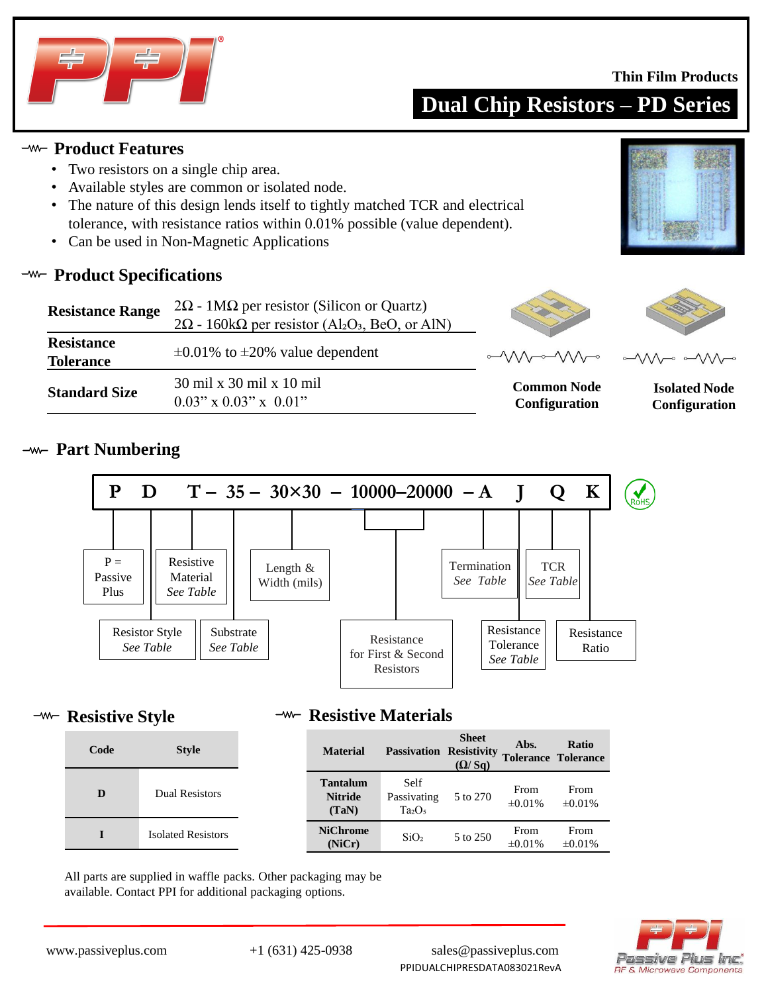

#### **Thin Film Products**

**Dual Chip Resistors – PD Series**

### **Product Features**

- Two resistors on a single chip area.
- Available styles are common or isolated node.
- The nature of this design lends itself to tightly matched TCR and electrical tolerance, with resistance ratios within 0.01% possible (value dependent).
- Can be used in Non-Magnetic Applications

### **<sup>-w-</sup>** Product Specifications

| <b>Resistance Range</b>               | $2\Omega$ - 1M $\Omega$ per resistor (Silicon or Quartz)                              |  |  |  |  |
|---------------------------------------|---------------------------------------------------------------------------------------|--|--|--|--|
|                                       | $2\Omega$ - 160k $\Omega$ per resistor (Al <sub>2</sub> O <sub>3</sub> , BeO, or AlN) |  |  |  |  |
| <b>Resistance</b><br><b>Tolerance</b> | $\pm 0.01\%$ to $\pm 20\%$ value dependent                                            |  |  |  |  |
| <b>Standard Size</b>                  | 30 mil x 30 mil x 10 mil<br>$0.03$ " x $0.03$ " x $0.01$ "                            |  |  |  |  |





**Common Node Configuration**

**Isolated Node Configuration**

# **Part Numbering**



### **-w- Resistive Style**

**<sup>-w-</sup>** Resistive Materials

| Code | <b>Style</b>              | <b>Material</b>                            | <b>Passivation</b>                                    | <b>Sheet</b><br><b>Resistivity</b><br>(Q/Sq) | Abs.<br><b>Tolerance Tolerance</b> | Ratio                |
|------|---------------------------|--------------------------------------------|-------------------------------------------------------|----------------------------------------------|------------------------------------|----------------------|
| D    | <b>Dual Resistors</b>     | <b>Tantalum</b><br><b>Nitride</b><br>(TaN) | Self<br>Passivating<br>Ta <sub>2</sub> O <sub>5</sub> | 5 to 270                                     | From<br>$\pm 0.01\%$               | From<br>$\pm 0.01\%$ |
|      | <b>Isolated Resistors</b> | <b>NiChrome</b><br>(NiCr)                  | SiO <sub>2</sub>                                      | 5 to 250                                     | From<br>$\pm 0.01\%$               | From<br>$\pm 0.01\%$ |

All parts are supplied in waffle packs. Other packaging may be available. Contact PPI for additional packaging options.



www.passiveplus.com +1 (631) 425-0938 sales@passiveplus.com PPIDUALCHIPRESDATA083021RevA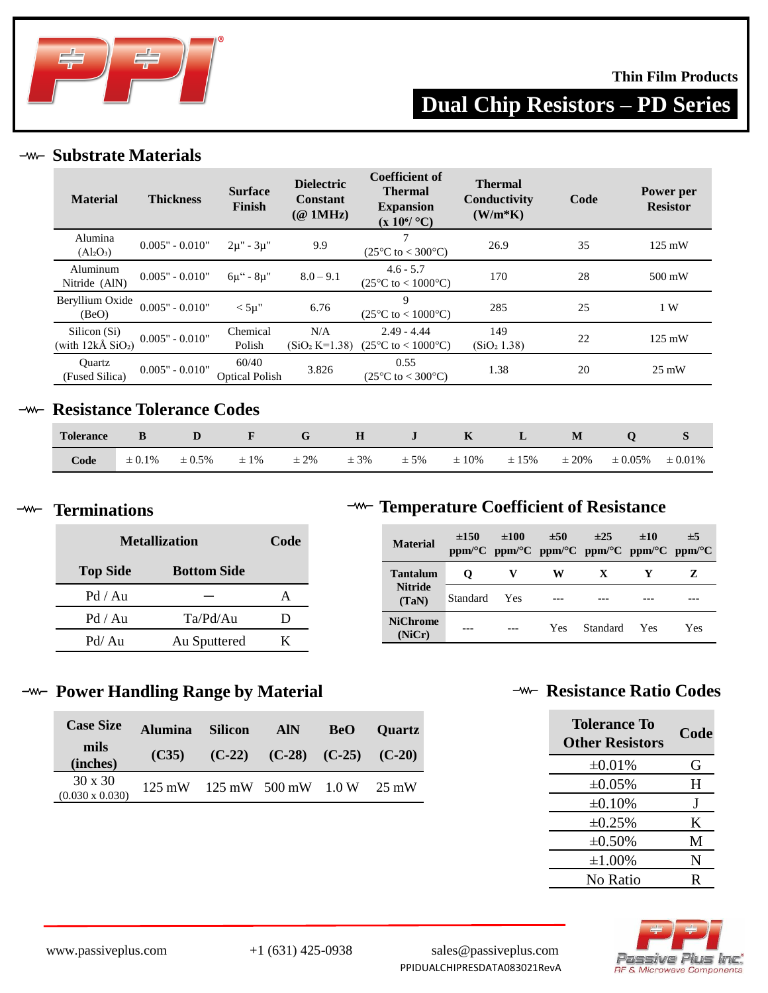

### **Thin Film Products**

**Dual Chip Resistors – PD Series**

### **Substrate Materials**

| <b>Material</b>                                   | <b>Thickness</b>  | <b>Surface</b><br>Finish       | <b>Dielectric</b><br><b>Constant</b><br>$(@$ 1MHz) | <b>Coefficient of</b><br><b>Thermal</b><br><b>Expansion</b><br>$(x 10^6$ °C) | <b>Thermal</b><br>Conductivity<br>$(W/m*K)$ | Code | Power per<br><b>Resistor</b> |
|---------------------------------------------------|-------------------|--------------------------------|----------------------------------------------------|------------------------------------------------------------------------------|---------------------------------------------|------|------------------------------|
| Alumina<br>(Al <sub>2</sub> O <sub>3</sub> )      | $0.005" - 0.010"$ | $2\mu$ " - $3\mu$ "            | 9.9                                                | $\mathcal{I}$<br>$(25^{\circ}C \text{ to } < 300^{\circ}C)$                  | 26.9                                        | 35   | $125 \text{ mW}$             |
| Aluminum<br>Nitride (AlN)                         | $0.005" - 0.010"$ | $6\mu$ " - $8\mu$ "            | $8.0 - 9.1$                                        | $4.6 - 5.7$<br>$(25^{\circ}C \text{ to } < 1000^{\circ}C)$                   | 170                                         | 28   | 500 mW                       |
| Beryllium Oxide<br>(BeO)                          | $0.005" - 0.010"$ | $<$ 5µ"                        | 6.76                                               | 9<br>$(25^{\circ}C \text{ to } < 1000^{\circ}C)$                             | 285                                         | 25   | 1 W                          |
| Silicon (Si)<br>(with $12k\AA$ SiO <sub>2</sub> ) | $0.005" - 0.010"$ | Chemical<br>Polish             | N/A<br>$(SiO2 K=1.38)$                             | $2.49 - 4.44$<br>$(25^{\circ}C \text{ to } < 1000^{\circ}C)$                 | 149<br>(SiO <sub>2</sub> 1.38)              | 22   | $125 \text{ mW}$             |
| Ouartz<br>(Fused Silica)                          | $0.005" - 0.010"$ | 60/40<br><b>Optical Polish</b> | 3.826                                              | 0.55<br>$(25^{\circ}C \text{ to } < 300^{\circ}C)$                           | 1.38                                        | 20   | $25 \text{ mW}$              |

# **-w- Resistance Tolerance Codes**

| <b>Tolerance</b> |             | D           | $\mathbf{F}$ | $-$ G $-$ |          |          | $H$ $J$ $K$ $L$ |            | M          |              |              |
|------------------|-------------|-------------|--------------|-----------|----------|----------|-----------------|------------|------------|--------------|--------------|
| Code             | $\pm 0.1\%$ | $\pm 0.5\%$ | $\pm 1\%$    | $\pm 2\%$ | $\pm$ 3% | $\pm$ 5% | $\pm 10\%$      | $\pm 15\%$ | $\pm 20\%$ | $\pm 0.05\%$ | $\pm 0.01\%$ |

### **Terminations**

| <b>Metallization</b> | Code               |     |
|----------------------|--------------------|-----|
| <b>Top Side</b>      | <b>Bottom Side</b> |     |
| Pd / Au              |                    |     |
| Pd / Au              | Ta/Pd/Au           | ו ו |
| Pd/Au                | Au Sputtered       | K.  |

# **Temperature Coefficient of Resistance**

| <b>Material</b>           | $\pm 150$ | $\pm 100$  | ±50        | $\pm 25$<br>ppm/°C ppm/°C ppm/°C ppm/°C ppm/°C ppm/°C | ±10        | $\pm$ 5 |
|---------------------------|-----------|------------|------------|-------------------------------------------------------|------------|---------|
| <b>Tantalum</b>           | O         |            | w          | X                                                     |            | Z       |
| <b>Nitride</b><br>(TaN)   | Standard  | <b>Yes</b> |            |                                                       |            |         |
| <b>NiChrome</b><br>(NiCr) |           |            | <b>Yes</b> | Standard                                              | <b>Yes</b> | Yes     |

### **Power Handling Range by Material**

| <b>Case Size</b>                         | <b>Alumina</b> | <b>Silicon</b>             | <b>AIN</b>                          | <b>BeO</b> | <b>Ouartz</b> |
|------------------------------------------|----------------|----------------------------|-------------------------------------|------------|---------------|
| mils<br>(inches)                         | (C35)          |                            | $(C-22)$ $(C-28)$ $(C-25)$ $(C-20)$ |            |               |
| $30 \times 30$<br>$(0.030 \times 0.030)$ |                | 125 mW 125 mW 500 mW 1.0 W |                                     |            | 25 mW         |

# **-w- Resistance Ratio Codes**

| Tolerance To<br><b>Other Resistors</b> | Code |
|----------------------------------------|------|
| $\pm 0.01\%$                           | G    |
| $\pm 0.05\%$                           | H    |
| $\pm 0.10\%$                           | J    |
| $\pm 0.25\%$                           | K    |
| $\pm 0.50\%$                           | M    |
| $\pm 1.00\%$                           | N    |
| No Ratio                               | R    |



www.passiveplus.com +1 (631) 425-0938 sales@passiveplus.com PPIDUALCHIPRESDATA083021RevA